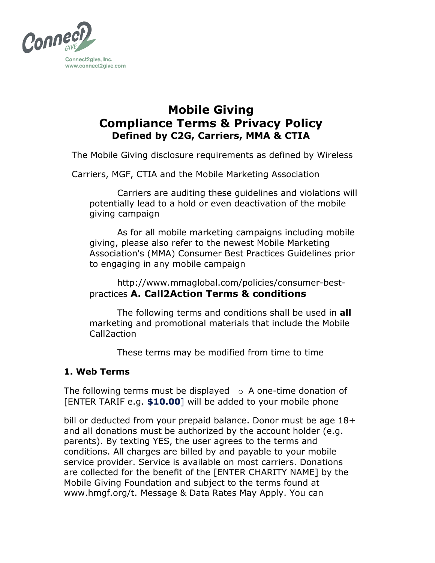

# **Mobile Giving Compliance Terms & Privacy Policy Defined by C2G, Carriers, MMA & CTIA**

The Mobile Giving disclosure requirements as defined by Wireless

Carriers, MGF, CTIA and the Mobile Marketing Association

Carriers are auditing these guidelines and violations will potentially lead to a hold or even deactivation of the mobile giving campaign

As for all mobile marketing campaigns including mobile giving, please also refer to the newest Mobile Marketing Association's (MMA) Consumer Best Practices Guidelines prior to engaging in any mobile campaign

http://www.mmaglobal.com/policies/consumer-bestpractices **A. Call2Action Terms & conditions** 

The following terms and conditions shall be used in **all**  marketing and promotional materials that include the Mobile Call2action

These terms may be modified from time to time

## **1. Web Terms**

The following terms must be displayed  $\circ$  A one-time donation of [ENTER TARIF e.g. **\$10.00**] will be added to your mobile phone

bill or deducted from your prepaid balance. Donor must be age 18+ and all donations must be authorized by the account holder (e.g. parents). By texting YES, the user agrees to the terms and conditions. All charges are billed by and payable to your mobile service provider. Service is available on most carriers. Donations are collected for the benefit of the [ENTER CHARITY NAME] by the Mobile Giving Foundation and subject to the terms found at www.hmgf.org/t. Message & Data Rates May Apply. You can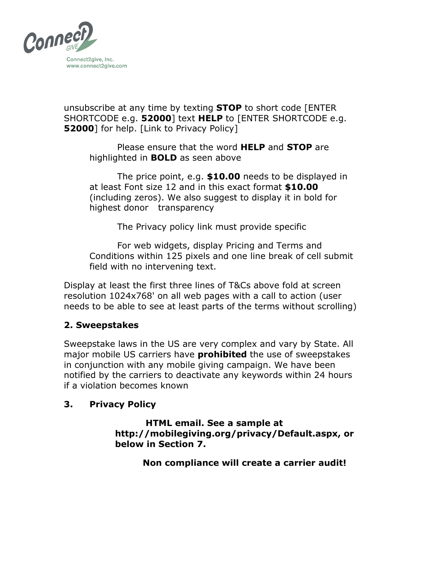

unsubscribe at any time by texting **STOP** to short code [ENTER SHORTCODE e.g. **52000**] text **HELP** to [ENTER SHORTCODE e.g. **52000**] for help. [Link to Privacy Policy]

Please ensure that the word **HELP** and **STOP** are highlighted in **BOLD** as seen above

The price point, e.g. **\$10.00** needs to be displayed in at least Font size 12 and in this exact format **\$10.00**  (including zeros). We also suggest to display it in bold for highest donor transparency

The Privacy policy link must provide specific

For web widgets, display Pricing and Terms and Conditions within 125 pixels and one line break of cell submit field with no intervening text.

Display at least the first three lines of T&Cs above fold at screen resolution 1024x768' on all web pages with a call to action (user needs to be able to see at least parts of the terms without scrolling)

## **2. Sweepstakes**

Sweepstake laws in the US are very complex and vary by State. All major mobile US carriers have **prohibited** the use of sweepstakes in conjunction with any mobile giving campaign. We have been notified by the carriers to deactivate any keywords within 24 hours if a violation becomes known

#### **3. Privacy Policy**

**HTML email. See a sample at http://mobilegiving.org/privacy/Default.aspx, or below in Section 7.** 

**Non compliance will create a carrier audit!**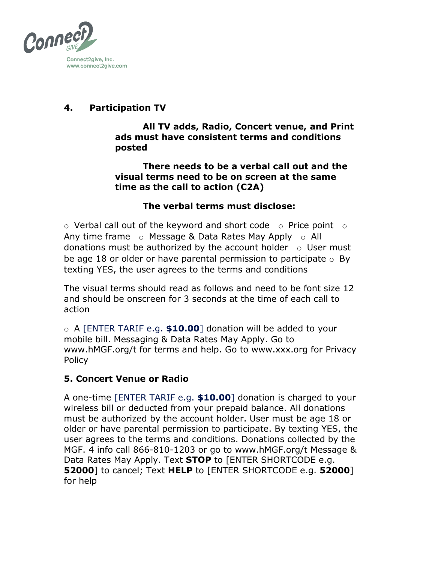

# **4. Participation TV**

**All TV adds, Radio, Concert venue, and Print ads must have consistent terms and conditions posted** 

**There needs to be a verbal call out and the visual terms need to be on screen at the same time as the call to action (C2A)** 

# **The verbal terms must disclose:**

 $\circ$  Verbal call out of the keyword and short code  $\circ$  Price point  $\circ$ Any time frame  $\circ$  Message & Data Rates May Apply  $\circ$  All donations must be authorized by the account holder  $\circ$  User must be age 18 or older or have parental permission to participate  $\circ$  By texting YES, the user agrees to the terms and conditions

The visual terms should read as follows and need to be font size 12 and should be onscreen for 3 seconds at the time of each call to action

o A [ENTER TARIF e.g. **\$10.00**] donation will be added to your mobile bill. Messaging & Data Rates May Apply. Go to www.hMGF.org/t for terms and help. Go to www.xxx.org for Privacy Policy

## **5. Concert Venue or Radio**

A one-time [ENTER TARIF e.g. **\$10.00**] donation is charged to your wireless bill or deducted from your prepaid balance. All donations must be authorized by the account holder. User must be age 18 or older or have parental permission to participate. By texting YES, the user agrees to the terms and conditions. Donations collected by the MGF. 4 info call 866-810-1203 or go to www.hMGF.org/t Message & Data Rates May Apply. Text **STOP** to [ENTER SHORTCODE e.g. **52000**] to cancel; Text **HELP** to [ENTER SHORTCODE e.g. **52000**] for help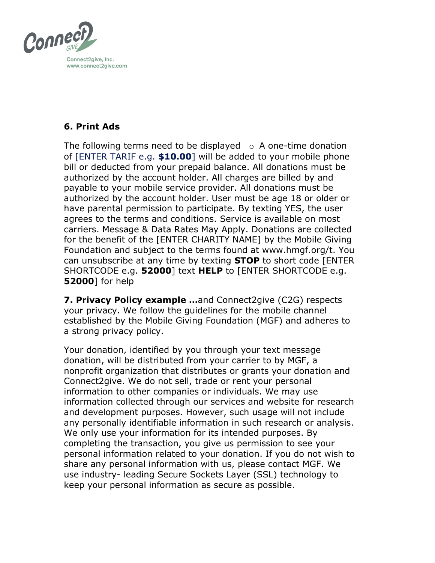

# **6. Print Ads**

The following terms need to be displayed  $\circ$  A one-time donation of [ENTER TARIF e.g. **\$10.00**] will be added to your mobile phone bill or deducted from your prepaid balance. All donations must be authorized by the account holder. All charges are billed by and payable to your mobile service provider. All donations must be authorized by the account holder. User must be age 18 or older or have parental permission to participate. By texting YES, the user agrees to the terms and conditions. Service is available on most carriers. Message & Data Rates May Apply. Donations are collected for the benefit of the [ENTER CHARITY NAME] by the Mobile Giving Foundation and subject to the terms found at www.hmgf.org/t. You can unsubscribe at any time by texting **STOP** to short code [ENTER SHORTCODE e.g. **52000**] text **HELP** to [ENTER SHORTCODE e.g. **52000**] for help

**7. Privacy Policy example …**and Connect2give (C2G) respects your privacy. We follow the guidelines for the mobile channel established by the Mobile Giving Foundation (MGF) and adheres to a strong privacy policy.

Your donation, identified by you through your text message donation, will be distributed from your carrier to by MGF, a nonprofit organization that distributes or grants your donation and Connect2give. We do not sell, trade or rent your personal information to other companies or individuals. We may use information collected through our services and website for research and development purposes. However, such usage will not include any personally identifiable information in such research or analysis. We only use your information for its intended purposes. By completing the transaction, you give us permission to see your personal information related to your donation. If you do not wish to share any personal information with us, please contact MGF. We use industry- leading Secure Sockets Layer (SSL) technology to keep your personal information as secure as possible.